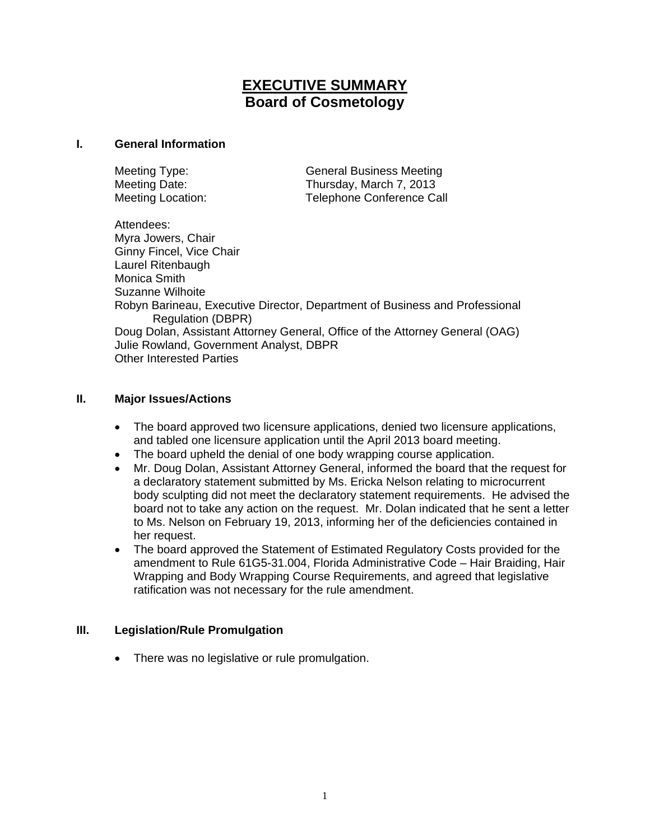# **EXECUTIVE SUMMARY Board of Cosmetology**

#### **I. General Information**

Meeting Type: General Business Meeting Meeting Date: Thursday, March 7, 2013 Meeting Location: Telephone Conference Call

Attendees: Myra Jowers, Chair Ginny Fincel, Vice Chair Laurel Ritenbaugh Monica Smith Suzanne Wilhoite Robyn Barineau, Executive Director, Department of Business and Professional Regulation (DBPR) Doug Dolan, Assistant Attorney General, Office of the Attorney General (OAG) Julie Rowland, Government Analyst, DBPR Other Interested Parties

### **II. Major Issues/Actions**

- The board approved two licensure applications, denied two licensure applications, and tabled one licensure application until the April 2013 board meeting.
- The board upheld the denial of one body wrapping course application.
- Mr. Doug Dolan, Assistant Attorney General, informed the board that the request for a declaratory statement submitted by Ms. Ericka Nelson relating to microcurrent body sculpting did not meet the declaratory statement requirements. He advised the board not to take any action on the request. Mr. Dolan indicated that he sent a letter to Ms. Nelson on February 19, 2013, informing her of the deficiencies contained in her request.
- The board approved the Statement of Estimated Regulatory Costs provided for the amendment to Rule 61G5-31.004, Florida Administrative Code – Hair Braiding, Hair Wrapping and Body Wrapping Course Requirements, and agreed that legislative ratification was not necessary for the rule amendment.

### **III. Legislation/Rule Promulgation**

• There was no legislative or rule promulgation.